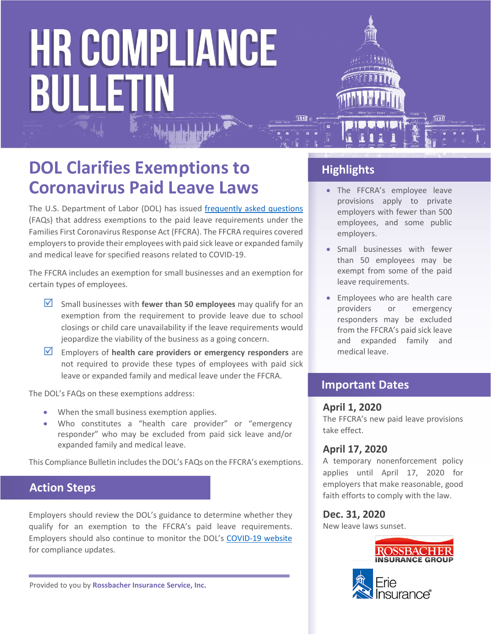# **HR COMPLIANCE BULLETIN**



## **DOL Clarifies Exemptions to Coronavirus Paid Leave Laws**

The U.S. Department of Labor (DOL) has issued [frequently asked questions](https://www.dol.gov/agencies/whd/pandemic/ffcra-questions) (FAQs) that address exemptions to the paid leave requirements under the Families First Coronavirus Response Act (FFCRA). The FFCRA requires covered employers to provide their employees with paid sick leave or expanded family and medical leave for specified reasons related to COVID-19.

The FFCRA includes an exemption for small businesses and an exemption for certain types of employees.

- $\overline{2}$  Small businesses with **fewer than 50 employees** may qualify for an exemption from the requirement to provide leave due to school closings or child care unavailability if the leave requirements would jeopardize the viability of the business as a going concern.
- **Employers of health care providers or emergency responders** are not required to provide these types of employees with paid sick leave or expanded family and medical leave under the FFCRA.

The DOL's FAQs on these exemptions address:

- When the small business exemption applies.
- Who constitutes a "health care provider" or "emergency responder" who may be excluded from paid sick leave and/or expanded family and medical leave.

This Compliance Bulletin includes the DOL's FAQs on the FFCRA's exemptions.

### **Action Steps**

Employers should review the DOL's guidance to determine whether they qualify for an exemption to the FFCRA's paid leave requirements. Employers should also continue to monitor the DOL's [COVID-19 website](https://www.dol.gov/agencies/whd/pandemic) for compliance updates.

Provided to you by **Rossbacher Insurance Service, Inc.**

### **Highlights**

- The FFCRA's employee leave provisions apply to private employers with fewer than 500 employees, and some public employers.
- Small businesses with fewer than 50 employees may be exempt from some of the paid leave requirements.
- Employees who are health care providers or emergency responders may be excluded from the FFCRA's paid sick leave and expanded family and medical leave.

### **Important Dates**

#### **April 1, 2020**

The FFCRA's new paid leave provisions take effect.

### **April 17, 2020**

A temporary nonenforcement policy applies until April 17, 2020 for employers that make reasonable, good faith efforts to comply with the law.

#### **Dec. 31, 2020**

New leave laws sunset.

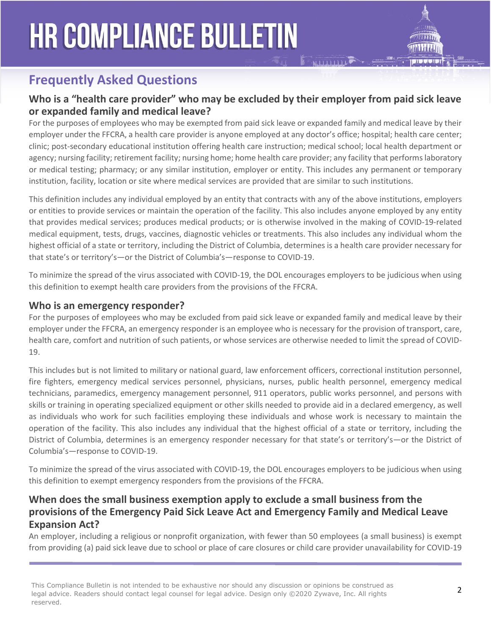# **HR COMPLIANCE BULLETIN**



### **Frequently Asked Questions**

### **Who is a "health care provider" who may be excluded by their employer from paid sick leave or expanded family and medical leave?**

For the purposes of employees who may be exempted from paid sick leave or expanded family and medical leave by their employer under the FFCRA, a health care provider is anyone employed at any doctor's office; hospital; health care center; clinic; post-secondary educational institution offering health care instruction; medical school; local health department or agency; nursing facility; retirement facility; nursing home; home health care provider; any facility that performs laboratory or medical testing; pharmacy; or any similar institution, employer or entity. This includes any permanent or temporary institution, facility, location or site where medical services are provided that are similar to such institutions.

This definition includes any individual employed by an entity that contracts with any of the above institutions, employers or entities to provide services or maintain the operation of the facility. This also includes anyone employed by any entity that provides medical services; produces medical products; or is otherwise involved in the making of COVID-19-related medical equipment, tests, drugs, vaccines, diagnostic vehicles or treatments. This also includes any individual whom the highest official of a state or territory, including the District of Columbia, determines is a health care provider necessary for that state's or territory's—or the District of Columbia's—response to COVID-19.

To minimize the spread of the virus associated with COVID-19, the DOL encourages employers to be judicious when using this definition to exempt health care providers from the provisions of the FFCRA.

### **Who is an emergency responder?**

For the purposes of employees who may be excluded from paid sick leave or expanded family and medical leave by their employer under the FFCRA, an emergency responder is an employee who is necessary for the provision of transport, care, health care, comfort and nutrition of such patients, or whose services are otherwise needed to limit the spread of COVID-19.

This includes but is not limited to military or national guard, law enforcement officers, correctional institution personnel, fire fighters, emergency medical services personnel, physicians, nurses, public health personnel, emergency medical technicians, paramedics, emergency management personnel, 911 operators, public works personnel, and persons with skills or training in operating specialized equipment or other skills needed to provide aid in a declared emergency, as well as individuals who work for such facilities employing these individuals and whose work is necessary to maintain the operation of the facility. This also includes any individual that the highest official of a state or territory, including the District of Columbia, determines is an emergency responder necessary for that state's or territory's—or the District of Columbia's—response to COVID-19.

To minimize the spread of the virus associated with COVID-19, the DOL encourages employers to be judicious when using this definition to exempt emergency responders from the provisions of the FFCRA.

### **When does the small business exemption apply to exclude a small business from the provisions of the Emergency Paid Sick Leave Act and Emergency Family and Medical Leave Expansion Act?**

An employer, including a religious or nonprofit organization, with fewer than 50 employees (a small business) is exempt from providing (a) paid sick leave due to school or place of care closures or child care provider unavailability for COVID-19

This Compliance Bulletin is not intended to be exhaustive nor should any discussion or opinions be construed as<br>Lead advise Readers should agricult as superfections of the lead ideas. Realize any 20000 7 www. The All visit legal advice. Readers should contact legal counsel for legal advice. Design only ©2020 Zywave, Inc. All rights reserved.